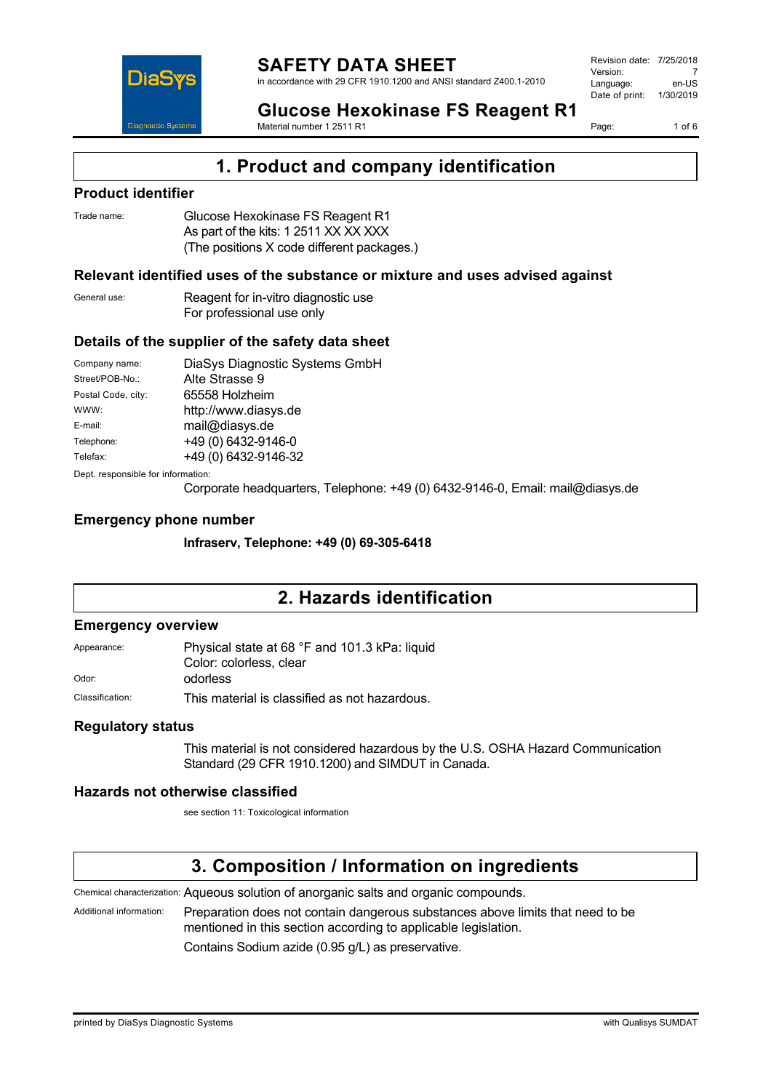

Page: 1 of 6

**Glucose Hexokinase FS Reagent R1** Material number 1 2511 R1

**1. Product and company identification**

### **Product identifier**

| Trade name: | Glucose Hexokinase FS Reagent R1           |
|-------------|--------------------------------------------|
|             | As part of the kits: 1 2511 XX XX XXX      |
|             | (The positions X code different packages.) |

### **Relevant identified uses of the substance or mixture and uses advised against**

| General use: | Reagent for in-vitro diagnostic use |
|--------------|-------------------------------------|
|              | For professional use only           |

### **Details of the supplier of the safety data sheet**

| Company name:                      | DiaSys Diagnostic Systems GmbH |
|------------------------------------|--------------------------------|
| Street/POB-No.:                    | Alte Strasse 9                 |
| Postal Code, city:                 | 65558 Holzheim                 |
| WWW:                               | http://www.diasys.de           |
| E-mail:                            | mail@diasys.de                 |
| Telephone:                         | +49 (0) 6432-9146-0            |
| Telefax:                           | +49 (0) 6432-9146-32           |
| Dept. responsible for information: |                                |

Corporate headquarters, Telephone: +49 (0) 6432-9146-0, Email: mail@diasys.de

### **Emergency phone number**

**Infraserv, Telephone: +49 (0) 69-305-6418**

# **2. Hazards identification**

### **Emergency overview**

Appearance: Physical state at 68 °F and 101.3 kPa: liquid Color: colorless, clear Odor: odorless

Classification: This material is classified as not hazardous.

### **Regulatory status**

This material is not considered hazardous by the U.S. OSHA Hazard Communication Standard (29 CFR 1910.1200) and SIMDUT in Canada.

### **Hazards not otherwise classified**

see section 11: Toxicological information

## **3. Composition / Information on ingredients**

Chemical characterization: Aqueous solution of anorganic salts and organic compounds.

Additional information: Preparation does not contain dangerous substances above limits that need to be mentioned in this section according to applicable legislation.

Contains Sodium azide (0.95 g/L) as preservative.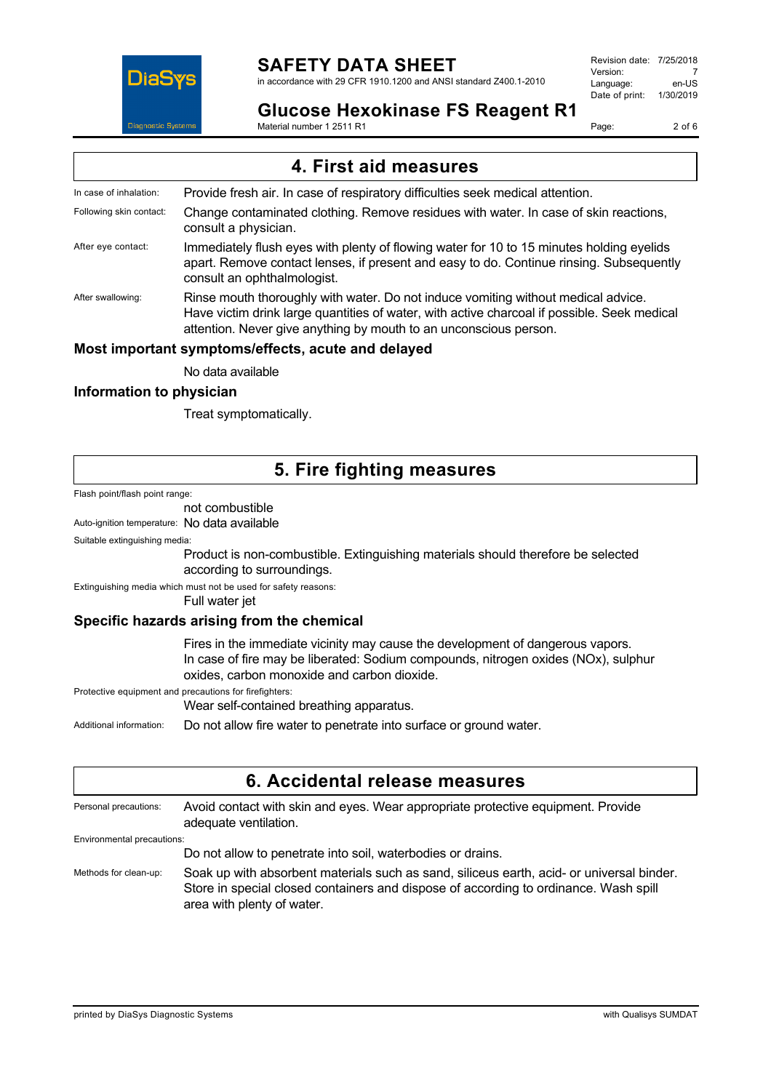

in accordance with 29 CFR 1910.1200 and ANSI standard Z400.1-2010

Revision date: 7/25/2018 Version: 7<br>Language: en-LIS Language: Date of print: 1/30/2019

## **Glucose Hexokinase FS Reagent R1**

Material number 1 2511 R1

Page: 2 of 6

|                         | 4. First aid measures                                                                                                                                                                                                                                 |
|-------------------------|-------------------------------------------------------------------------------------------------------------------------------------------------------------------------------------------------------------------------------------------------------|
| In case of inhalation:  | Provide fresh air. In case of respiratory difficulties seek medical attention.                                                                                                                                                                        |
| Following skin contact: | Change contaminated clothing. Remove residues with water. In case of skin reactions,<br>consult a physician.                                                                                                                                          |
| After eye contact:      | Immediately flush eyes with plenty of flowing water for 10 to 15 minutes holding eyelids<br>apart. Remove contact lenses, if present and easy to do. Continue rinsing. Subsequently<br>consult an ophthalmologist.                                    |
| After swallowing:       | Rinse mouth thoroughly with water. Do not induce vomiting without medical advice.<br>Have victim drink large quantities of water, with active charcoal if possible. Seek medical<br>attention. Never give anything by mouth to an unconscious person. |
|                         | Most important symptoms/effects, acute and delayed                                                                                                                                                                                                    |
|                         | No data available                                                                                                                                                                                                                                     |

### **Information to physician**

Treat symptomatically.

## **5. Fire fighting measures**

Flash point/flash point range:

### not combustible

Auto-ignition temperature: No data available

Suitable extinguishing media:

Product is non-combustible. Extinguishing materials should therefore be selected according to surroundings.

Extinguishing media which must not be used for safety reasons:

Full water jet

### **Specific hazards arising from the chemical**

Fires in the immediate vicinity may cause the development of dangerous vapors. In case of fire may be liberated: Sodium compounds, nitrogen oxides (NOx), sulphur oxides, carbon monoxide and carbon dioxide.

Protective equipment and precautions for firefighters:

Wear self-contained breathing apparatus.

Additional information: Do not allow fire water to penetrate into surface or ground water.

| 6. Accidental release measures |                                                                                                                                                                                                                 |
|--------------------------------|-----------------------------------------------------------------------------------------------------------------------------------------------------------------------------------------------------------------|
| Personal precautions:          | Avoid contact with skin and eyes. Wear appropriate protective equipment. Provide<br>adequate ventilation.                                                                                                       |
| Environmental precautions:     |                                                                                                                                                                                                                 |
|                                | Do not allow to penetrate into soil, waterbodies or drains.                                                                                                                                                     |
| Methods for clean-up:          | Soak up with absorbent materials such as sand, siliceus earth, acid- or universal binder.<br>Store in special closed containers and dispose of according to ordinance. Wash spill<br>area with plenty of water. |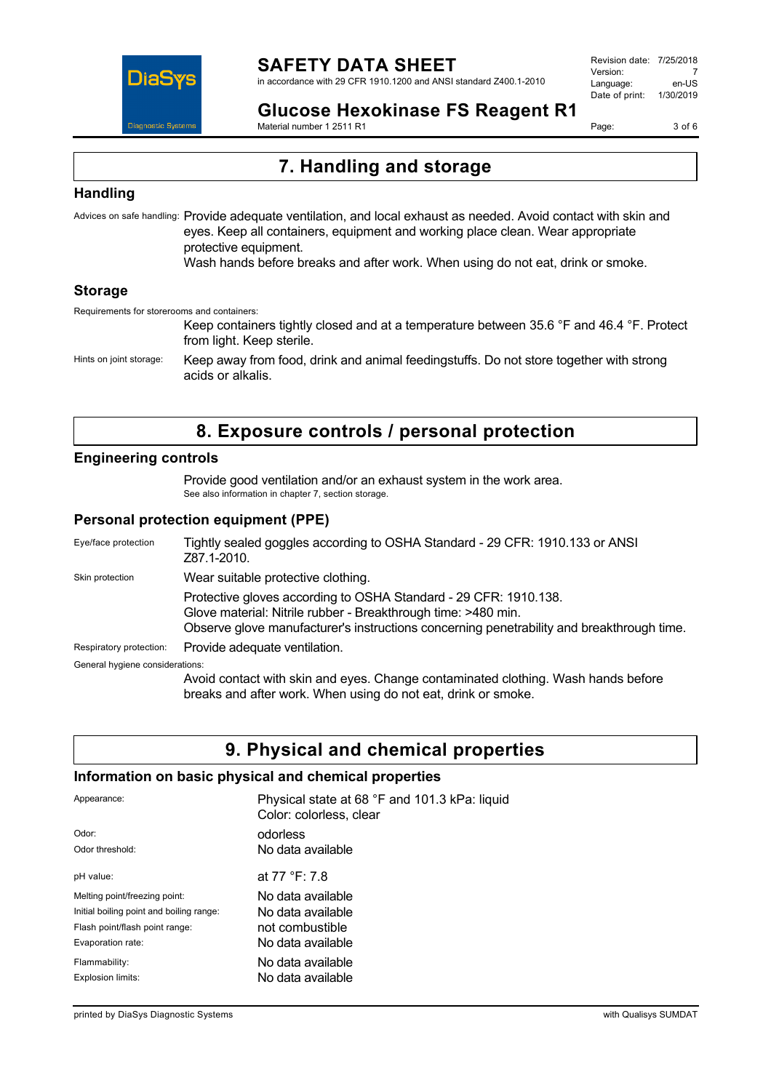

in accordance with 29 CFR 1910.1200 and ANSI standard Z400.1-2010

Revision date: 7/25/2018 Version: 7<br>Language: en-LIS Language: Date of print: 1/30/2019

**Glucose Hexokinase FS Reagent R1**

Material number 1 2511 R1

Page: 3 of 6

# **7. Handling and storage**

### **Handling**

Advices on safe handling: Provide adequate ventilation, and local exhaust as needed. Avoid contact with skin and eyes. Keep all containers, equipment and working place clean. Wear appropriate protective equipment. Wash hands before breaks and after work. When using do not eat, drink or smoke.

### **Storage**

Requirements for storerooms and containers:

Keep containers tightly closed and at a temperature between 35.6 °F and 46.4 °F. Protect from light. Keep sterile. Hints on joint storage: Keep away from food, drink and animal feedingstuffs. Do not store together with strong acids or alkalis.

# **8. Exposure controls / personal protection**

### **Engineering controls**

Provide good ventilation and/or an exhaust system in the work area. See also information in chapter 7, section storage.

### **Personal protection equipment (PPE)**

| Eye/face protection             | Tightly sealed goggles according to OSHA Standard - 29 CFR: 1910.133 or ANSI<br>Z87.1-2010.                                                                                                                                    |
|---------------------------------|--------------------------------------------------------------------------------------------------------------------------------------------------------------------------------------------------------------------------------|
| Skin protection                 | Wear suitable protective clothing.                                                                                                                                                                                             |
|                                 | Protective gloves according to OSHA Standard - 29 CFR: 1910.138.<br>Glove material: Nitrile rubber - Breakthrough time: >480 min.<br>Observe glove manufacturer's instructions concerning penetrability and breakthrough time. |
| Respiratory protection:         | Provide adequate ventilation.                                                                                                                                                                                                  |
| General hygiene considerations: |                                                                                                                                                                                                                                |
|                                 | Avoid contact with skin and eyes. Change contaminated clothing. Wash hands before<br>breaks and after work. When using do not eat, drink or smoke.                                                                             |

## **9. Physical and chemical properties**

## **Information on basic physical and chemical properties**

| Appearance:                              | Physical state at 68 °F and 101.3 kPa: liquid<br>Color: colorless, clear |
|------------------------------------------|--------------------------------------------------------------------------|
| Odor:                                    | odorless                                                                 |
| Odor threshold:                          | No data available                                                        |
| pH value:                                | at 77 °F: 7.8                                                            |
| Melting point/freezing point:            | No data available                                                        |
| Initial boiling point and boiling range: | No data available                                                        |
| Flash point/flash point range:           | not combustible                                                          |
| Evaporation rate:                        | No data available                                                        |
| Flammability:                            | No data available                                                        |
| Explosion limits:                        | No data available                                                        |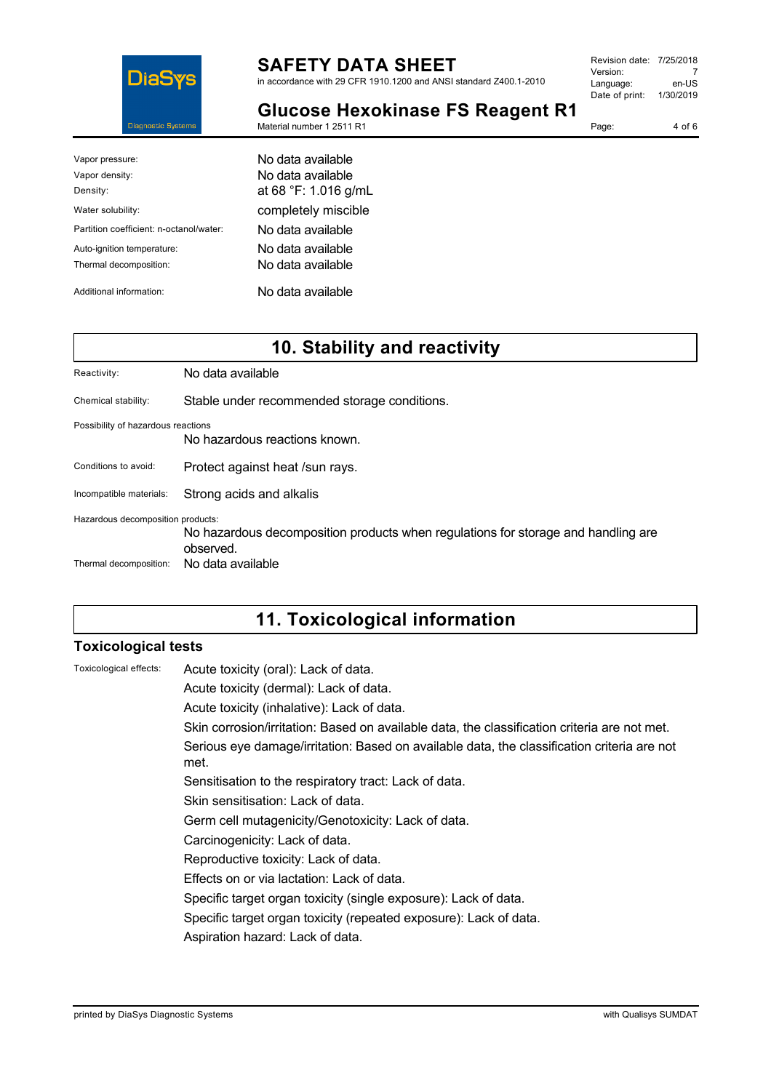

in accordance with 29 CFR 1910.1200 and ANSI standard Z400.1-2010

| Revision date: 7/25/2018 |           |
|--------------------------|-----------|
| Version:                 |           |
| Language:                | en-US     |
| Date of print:           | 1/30/2019 |
|                          |           |

Page: 4 of 6

**Glucose Hexokinase FS Reagent R1**

| Material number 1 2511 R1 |  |
|---------------------------|--|
|---------------------------|--|

| Vapor pressure:                         | No data available    |
|-----------------------------------------|----------------------|
| Vapor density:                          | No data available    |
| Density:                                | at 68 °F: 1.016 g/mL |
| Water solubility:                       | completely miscible  |
| Partition coefficient: n-octanol/water: | No data available    |
| Auto-ignition temperature:              | No data available    |
| Thermal decomposition:                  | No data available    |
| Additional information:                 | No data available    |

# **10. Stability and reactivity**

| Reactivity:                        | No data available                                                                              |
|------------------------------------|------------------------------------------------------------------------------------------------|
| Chemical stability:                | Stable under recommended storage conditions.                                                   |
| Possibility of hazardous reactions | No hazardous reactions known.                                                                  |
| Conditions to avoid:               | Protect against heat /sun rays.                                                                |
| Incompatible materials:            | Strong acids and alkalis                                                                       |
| Hazardous decomposition products:  | No hazardous decomposition products when regulations for storage and handling are<br>observed. |
| Thermal decomposition:             | No data available                                                                              |

# **11. Toxicological information**

## **Toxicological tests**

| Toxicological effects: | Acute toxicity (oral): Lack of data.                                                                |
|------------------------|-----------------------------------------------------------------------------------------------------|
|                        | Acute toxicity (dermal): Lack of data.                                                              |
|                        | Acute toxicity (inhalative): Lack of data.                                                          |
|                        | Skin corrosion/irritation: Based on available data, the classification criteria are not met.        |
|                        | Serious eye damage/irritation: Based on available data, the classification criteria are not<br>met. |
|                        | Sensitisation to the respiratory tract: Lack of data.                                               |
|                        | Skin sensitisation: Lack of data.                                                                   |
|                        | Germ cell mutagenicity/Genotoxicity: Lack of data.                                                  |
|                        | Carcinogenicity: Lack of data.                                                                      |
|                        | Reproductive toxicity: Lack of data.                                                                |
|                        | Effects on or via lactation: Lack of data.                                                          |
|                        | Specific target organ toxicity (single exposure): Lack of data.                                     |
|                        | Specific target organ toxicity (repeated exposure): Lack of data.                                   |
|                        | Aspiration hazard: Lack of data.                                                                    |
|                        |                                                                                                     |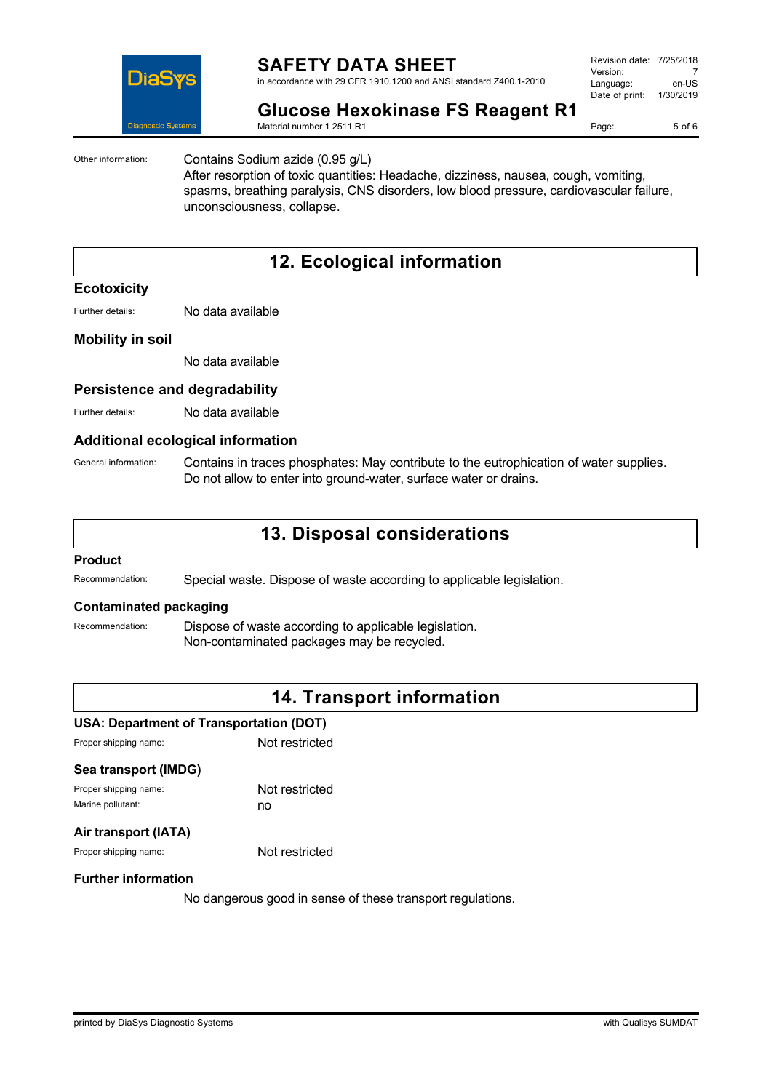

in accordance with 29 CFR 1910.1200 and ANSI standard Z400.1-2010

| Revision date: 7/25/2018 |           |
|--------------------------|-----------|
| Version:                 |           |
| Language:                | en-US     |
| Date of print:           | 1/30/2019 |
|                          |           |

Page: 5 of 6

**Glucose Hexokinase FS Reagent R1**

Material number 1 2511 R1

Other information: Contains Sodium azide (0.95 g/L)

After resorption of toxic quantities: Headache, dizziness, nausea, cough, vomiting, spasms, breathing paralysis, CNS disorders, low blood pressure, cardiovascular failure, unconsciousness, collapse.

# **12. Ecological information**

### **Ecotoxicity**

Further details: No data available

### **Mobility in soil**

No data available

### **Persistence and degradability**

Further details: No data available

### **Additional ecological information**

General information: Contains in traces phosphates: May contribute to the eutrophication of water supplies. Do not allow to enter into ground-water, surface water or drains.

## **13. Disposal considerations**

#### **Product**

Recommendation: Special waste. Dispose of waste according to applicable legislation.

### **Contaminated packaging**

Recommendation: Dispose of waste according to applicable legislation. Non-contaminated packages may be recycled.

## **14. Transport information**

### **USA: Department of Transportation (DOT)**

Proper shipping name: Not restricted

| Sea transport (IMDG)  |                |
|-----------------------|----------------|
| Proper shipping name: | Not restricted |
| Marine pollutant:     | no             |
|                       |                |

### **Air transport (IATA)**

Proper shipping name: Not restricted

### **Further information**

No dangerous good in sense of these transport regulations.